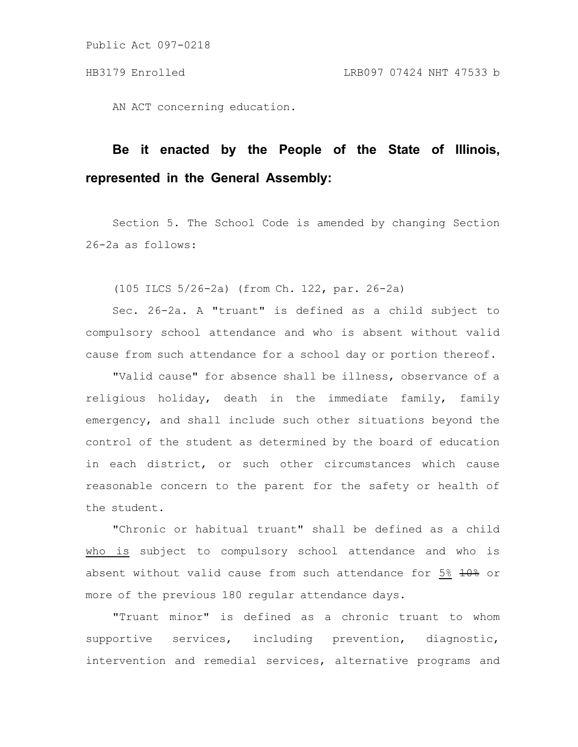Public Act 097-0218

AN ACT concerning education.

## **Be it enacted by the People of the State of Illinois, represented in the General Assembly:**

Section 5. The School Code is amended by changing Section 26-2a as follows:

(105 ILCS 5/26-2a) (from Ch. 122, par. 26-2a)

Sec. 26-2a. A "truant" is defined as a child subject to compulsory school attendance and who is absent without valid cause from such attendance for a school day or portion thereof.

"Valid cause" for absence shall be illness, observance of a religious holiday, death in the immediate family, family emergency, and shall include such other situations beyond the control of the student as determined by the board of education in each district, or such other circumstances which cause reasonable concern to the parent for the safety or health of the student.

"Chronic or habitual truant" shall be defined as a child who is subject to compulsory school attendance and who is absent without valid cause from such attendance for 5%  $\frac{10}{6}$  or more of the previous 180 regular attendance days.

"Truant minor" is defined as a chronic truant to whom supportive services, including prevention, diagnostic, intervention and remedial services, alternative programs and